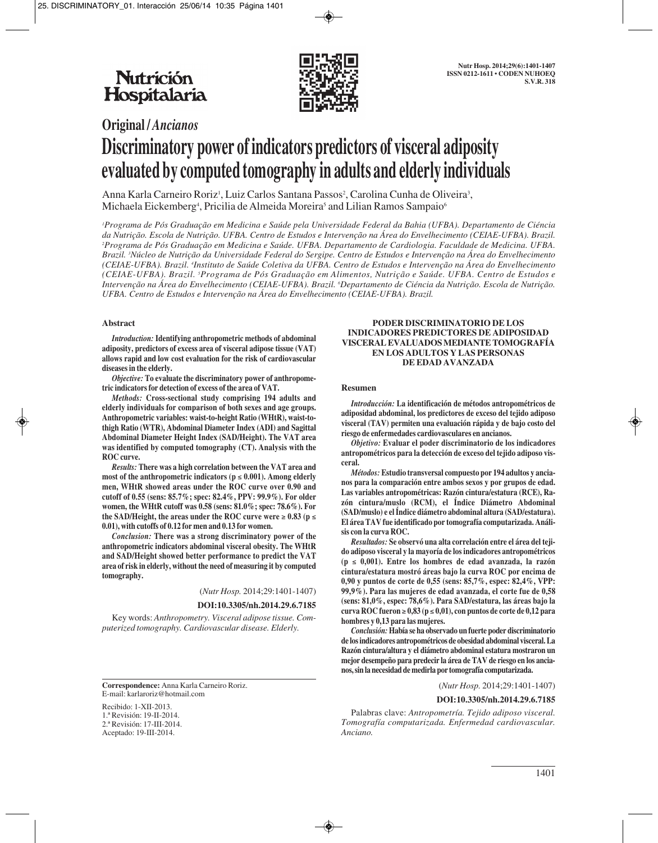

# **Original /** *Ancianos* **Discriminatory power of indicators predictors of visceral adiposity evaluated by computed tomography in adults and elderly individuals**

Anna Karla Carneiro Roriz<sup>i</sup>, Luiz Carlos Santana Passos<sup>2</sup>, Carolina Cunha de Oliveira<sup>3</sup>, Michaela Eickemberg<sup>4</sup>, Pricilia de Almeida Moreira<sup>s</sup> and Lilian Ramos Sampaio<sup>6</sup>

*1 Programa de Pós Graduação em Medicina e Saúde pela Universidade Federal da Bahia (UFBA). Departamento de Ciéncia da Nutrição. Escola de Nutrição. UFBA. Centro de Estudos e Intervenção na Área do Envelhecimento (CEIAE-UFBA). Brazil. 2 Programa de Pós Graduação em Medicina e Saúde. UFBA. Departamento de Cardiologia. Faculdade de Medicina. UFBA. Brazil. 3 Núcleo de Nutrição da Universidade Federal do Sergipe. Centro de Estudos e Intervenção na Área do Envelhecimento (CEIAE-UFBA). Brazil. 4 Instituto de Saúde Coletiva da UFBA. Centro de Estudos e Intervenção na Área do Envelhecimento (CEIAE-UFBA). Brazil. 5 Programa de Pós Graduação em Alimentos, Nutrição e Saúde. UFBA. Centro de Estudos e Intervenção na Área do Envelhecimento (CEIAE-UFBA). Brazil. 6 Departamento de Ciéncia da Nutrição. Escola de Nutrição. UFBA. Centro de Estudos e Intervenção na Área do Envelhecimento (CEIAE-UFBA). Brazil.*

## **Abstract**

*Introduction:* **Identifying anthropometric methods of abdominal adiposity, predictors of excess area of visceral adipose tissue (VAT) allows rapid and low cost evaluation for the risk of cardiovascular diseases in the elderly.**

*Objective:* **To evaluate the discriminatory power of anthropometric indicators for detection of excess of the area of VAT.**

*Methods:* **Cross-sectional study comprising 194 adults and elderly individuals for comparison of both sexes and age groups. Anthropometric variables: waist-to-height Ratio (WHtR), waist-tothigh Ratio (WTR), Abdominal Diameter Index (ADI) and Sagittal Abdominal Diameter Height Index (SAD/Height). The VAT area was identified by computed tomography (CT). Analysis with the ROC curve.**

*Results:* **There was a high correlation between the VAT area and most of the anthropometric indicators (p** ≤ **0.001). Among elderly men, WHtR showed areas under the ROC curve over 0.90 and cutoff of 0.55 (sens: 85.7%; spec: 82.4%, PPV: 99.9%). For older women, the WHtR cutoff was 0.58 (sens: 81.0%; spec: 78.6%). For the SAD/Height, the areas under the ROC curve were**  $≥ 0.83$  **(** $p ≤$ **0.01), with cutoffs of 0.12 for men and 0.13 for women.**

*Conclusion:* **There was a strong discriminatory power of the anthropometric indicators abdominal visceral obesity. The WHtR and SAD/Height showed better performance to predict the VAT area of risk in elderly, without the need of measuring it by computed tomography.**

(*Nutr Hosp.* 2014;29:1401-1407)

#### **DOI:10.3305/nh.2014.29.6.7185**

Key words: *Anthropometry. Visceral adipose tissue. Computerized tomography. Cardiovascular disease. Elderly.*

**Correspondence:** Anna Karla Carneiro Roriz. E-mail: karlaroriz@hotmail.com

Recibido: 1-XII-2013. 1.ª Revisión: 19-II-2014. 2.ª Revisión: 17-III-2014. Aceptado: 19-III-2014.

## **PODER DISCRIMINATORIO DE LOS INDICADORES PREDICTORES DE ADIPOSIDAD VISCERAL EVALUADOS MEDIANTE TOMOGRAFÍA EN LOS ADULTOS Y LAS PERSONAS DE EDAD AVANZADA**

#### **Resumen**

*Introducción:* **La identificación de métodos antropométricos de adiposidad abdominal, los predictores de exceso del tejido adiposo visceral (TAV) permiten una evaluación rápida y de bajo costo del riesgo de enfermedades cardiovasculares en ancianos.**

*Objetivo:* **Evaluar el poder discriminatorio de los indicadores antropométricos para la detección de exceso del tejido adiposo visceral.**

*Métodos:* **Estudio transversal compuesto por 194 adultos y ancianos para la comparación entre ambos sexos y por grupos de edad. Las variables antropométricas: Razón cintura/estatura (RCE), Razón cintura/muslo (RCM), el Índice Diámetro Abdominal (SAD/muslo) e el Índice diámetro abdominal altura (SAD/estatura). El área TAV fue identificado por tomografía computarizada. Análisis con la curva ROC.**

*Resultados:* **Se observó una alta correlación entre el área del tejido adiposo visceral y la mayoría de los indicadores antropométricos (p** ≤ **0,001). Entre los hombres de edad avanzada, la razón cintura/estatura mostró áreas bajo la curva ROC por encima de 0,90 y puntos de corte de 0,55 (sens: 85,7%, espec: 82,4%, VPP: 99,9%). Para las mujeres de edad avanzada, el corte fue de 0,58 (sens: 81,0%, espec: 78,6%). Para SAD/estatura, las áreas bajo la curva ROC fueron** ≥ **0,83 (p** ≤ **0,01), con puntos de corte de 0,12 para hombres y 0,13 para las mujeres.**

*Conclusión:* **Había se ha observado un fuerte poder discriminatorio de los indicadores antropométricos de obesidad abdominal visceral. La Razón cintura/altura y el diámetro abdominal estatura mostraron un mejor desempeño para predecir la área de TAV de riesgo en los ancianos, sin la necesidad de medirla por tomografía computarizada.**

(*Nutr Hosp.* 2014;29:1401-1407)

#### **DOI:10.3305/nh.2014.29.6.7185**

Palabras clave: *Antropometría. Tejido adiposo visceral. Tomografía computarizada. Enfermedad cardiovascular. Anciano.*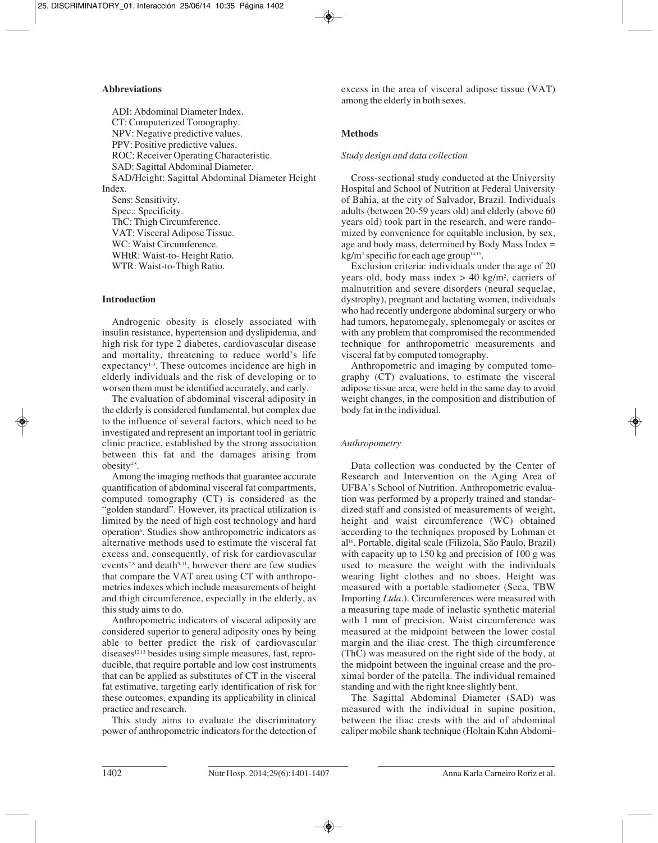# **Abbreviations**

ADI: Abdominal Diameter Index. CT: Computerized Tomography. NPV: Negative predictive values. PPV: Positive predictive values. ROC: Receiver Operating Characteristic. SAD: Sagittal Abdominal Diameter. SAD/Height: Sagittal Abdominal Diameter Height Index. Sens: Sensitivity. Spec.: Specificity.

ThC: Thigh Circumference. VAT: Visceral Adipose Tissue. WC: Waist Circumference. WHtR: Waist-to- Height Ratio. WTR: Waist-to-Thigh Ratio.

# **Introduction**

Androgenic obesity is closely associated with insulin resistance, hypertension and dyslipidemia, and high risk for type 2 diabetes, cardiovascular disease and mortality, threatening to reduce world's life expectancy<sup>1,3</sup>. These outcomes incidence are high in elderly individuals and the risk of developing or to worsen them must be identified accurately, and early.

The evaluation of abdominal visceral adiposity in the elderly is considered fundamental, but complex due to the influence of several factors, which need to be investigated and represent an important tool in geriatric clinic practice, established by the strong association between this fat and the damages arising from obesity4,5.

Among the imaging methods that guarantee accurate quantification of abdominal visceral fat compartments, computed tomography (CT) is considered as the "golden standard". However, its practical utilization is limited by the need of high cost technology and hard operation<sup>6</sup>. Studies show anthropometric indicators as alternative methods used to estimate the visceral fat excess and, consequently, of risk for cardiovascular events<sup>7,8</sup> and death $9-11$ , however there are few studies that compare the VAT area using CT with anthropometrics indexes which include measurements of height and thigh circumference, especially in the elderly, as this study aims to do.

Anthropometric indicators of visceral adiposity are considered superior to general adiposity ones by being able to better predict the risk of cardiovascular diseases<sup>12,13</sup> besides using simple measures, fast, reproducible, that require portable and low cost instruments that can be applied as substitutes of CT in the visceral fat estimative, targeting early identification of risk for these outcomes, expanding its applicability in clinical practice and research.

This study aims to evaluate the discriminatory power of anthropometric indicators for the detection of excess in the area of visceral adipose tissue (VAT) among the elderly in both sexes.

# **Methods**

# *Study design and data collection*

Cross-sectional study conducted at the University Hospital and School of Nutrition at Federal University of Bahia, at the city of Salvador, Brazil. Individuals adults (between 20-59 years old) and elderly (above 60 years old) took part in the research, and were randomized by convenience for equitable inclusion, by sex, age and body mass, determined by Body Mass Index =  $kg/m^2$  specific for each age group<sup>14,15</sup>.

Exclusion criteria: individuals under the age of 20 years old, body mass index  $> 40$  kg/m<sup>2</sup>, carriers of malnutrition and severe disorders (neural sequelae, dystrophy), pregnant and lactating women, individuals who had recently undergone abdominal surgery or who had tumors, hepatomegaly, splenomegaly or ascites or with any problem that compromised the recommended technique for anthropometric measurements and visceral fat by computed tomography.

Anthropometric and imaging by computed tomography (CT) evaluations, to estimate the visceral adipose tissue area, were held in the same day to avoid weight changes, in the composition and distribution of body fat in the individual.

# *Anthropometry*

Data collection was conducted by the Center of Research and Intervention on the Aging Area of UFBA's School of Nutrition. Anthropometric evaluation was performed by a properly trained and standar dized staff and consisted of measurements of weight, height and waist circumference (WC) obtained according to the techniques proposed by Lohman et al16. Portable, digital scale (Filizola, São Paulo, Brazil) with capacity up to 150 kg and precision of 100 g was used to measure the weight with the individuals wearing light clothes and no shoes. Height was measured with a portable stadiometer (Seca, TBW Importing *Ltda.*). Circumferences were measured with a measuring tape made of inelastic synthetic material with 1 mm of precision. Waist circumference was measured at the midpoint between the lower costal margin and the iliac crest. The thigh circumference (ThC) was measured on the right side of the body, at the midpoint between the inguinal crease and the proximal border of the patella. The individual remained standing and with the right knee slightly bent.

The Sagittal Abdominal Diameter (SAD) was measured with the individual in supine position, between the iliac crests with the aid of abdominal caliper mobile shank technique (Holtain Kahn Abdomi -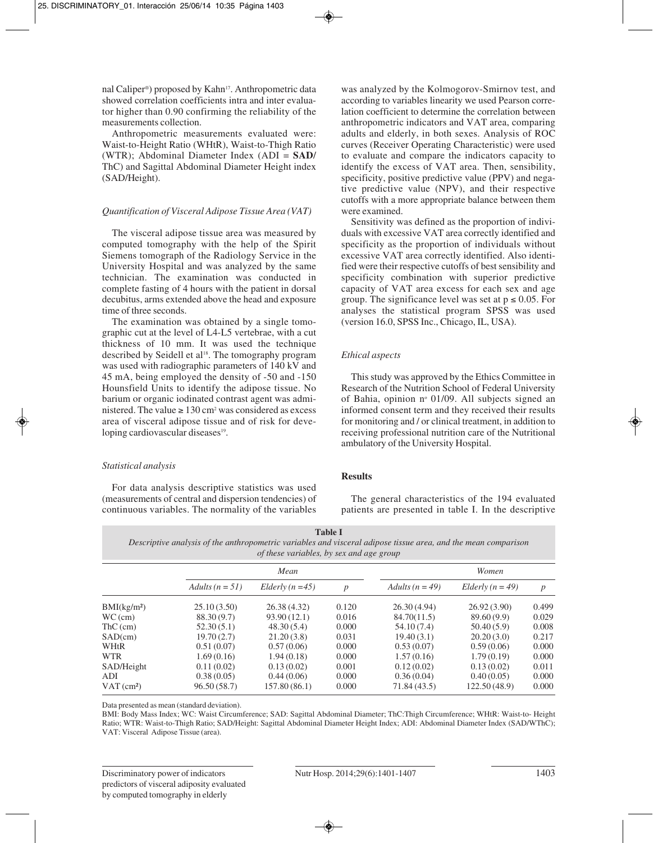nal Caliper®) proposed by Kahn<sup>17</sup>. Anthropometric data showed correlation coefficients intra and inter evalua tor higher than 0.90 confirming the reliability of the measurements collection.

Anthropometric measurements evaluated were: Waist-to-Height Ratio (WHtR), Waist-to-Thigh Ratio (WTR); Abdominal Diameter Index (ADI = **SAD/** ThC) and Sagittal Abdominal Diameter Height index (SAD/Height).

## *Quantification of Visceral Adipose Tissue Area (VAT)*

The visceral adipose tissue area was measured by computed tomography with the help of the Spirit Siemens tomograph of the Radiology Service in the University Hospital and was analyzed by the same technician. The examination was conducted in complete fasting of 4 hours with the patient in dorsal decubitus, arms extended above the head and exposure time of three seconds.

The examination was obtained by a single tomographic cut at the level of L4-L5 vertebrae, with a cut thickness of 10 mm. It was used the technique described by Seidell et al<sup>18</sup>. The tomography program was used with radiographic parameters of 140 kV and 45 mA, being employed the density of -50 and -150 Hounsfield Units to identify the adipose tissue. No barium or organic iodinated contrast agent was admi nistered. The value  $\geq 130$  cm<sup>2</sup> was considered as excess area of visceral adipose tissue and of risk for deve loping cardiovascular diseases<sup>19</sup>.

#### *Statistical analysis*

For data analysis descriptive statistics was used (measurements of central and dispersion tendencies) of continuous variables. The normality of the variables was analyzed by the Kolmogorov-Smirnov test, and according to variables linearity we used Pearson correlation coefficient to determine the correlation between anthropometric indicators and VAT area, comparing adults and elderly, in both sexes. Analysis of ROC curves (Receiver Operating Characteristic) were used to evaluate and compare the indicators capacity to identify the excess of VAT area. Then, sensibility, specificity, positive predictive value (PPV) and negative predictive value (NPV), and their respective cutoffs with a more appropriate balance between them were examined.

Sensitivity was defined as the proportion of indivi duals with excessive VAT area correctly identified and specificity as the proportion of individuals without excessive VAT area correctly identified. Also identified were their respective cutoffs of best sensibility and specificity combination with superior predictive capacity of VAT area excess for each sex and age group. The significance level was set at  $p \le 0.05$ . For analyses the statistical program SPSS was used (version 16.0, SPSS Inc., Chicago, IL, USA).

## *Ethical aspects*

This study was approved by the Ethics Committee in Research of the Nutrition School of Federal University of Bahia, opinion  $n^{\circ}$  01/09. All subjects signed an informed consent term and they received their results for monitoring and / or clinical treatment, in addition to receiving professional nutrition care of the Nutritional ambulatory of the University Hospital.

### **Results**

The general characteristics of the 194 evaluated patients are presented in table I. In the descriptive

| <b>Table 1</b>                                                                                                 |  |  |  |  |  |
|----------------------------------------------------------------------------------------------------------------|--|--|--|--|--|
| Descriptive analysis of the anthropometric variables and visceral adipose tissue area, and the mean comparison |  |  |  |  |  |
| of these variables, by sex and age group                                                                       |  |  |  |  |  |

|                          | Mean              |                  |                  | Women             |                    |                  |  |
|--------------------------|-------------------|------------------|------------------|-------------------|--------------------|------------------|--|
|                          | Adults $(n = 51)$ | Elderly $(n=45)$ | $\boldsymbol{p}$ | Adults $(n = 49)$ | Elderly $(n = 49)$ | $\boldsymbol{p}$ |  |
| BMI(kg/m <sup>2</sup> )  | 25.10(3.50)       | 26.38(4.32)      | 0.120            | 26.30(4.94)       | 26.92(3.90)        | 0.499            |  |
| $WC$ (cm)                | 88.30 (9.7)       | 93.90 (12.1)     | 0.016            | 84.70(11.5)       | 89.60 (9.9)        | 0.029            |  |
| $ThC$ (cm)               | 52.30(5.1)        | 48.30(5.4)       | 0.000            | 54.10(7.4)        | 50.40(5.9)         | 0.008            |  |
| SAD(cm)                  | 19.70(2.7)        | 21.20(3.8)       | 0.031            | 19.40(3.1)        | 20.20(3.0)         | 0.217            |  |
| WHtR                     | 0.51(0.07)        | 0.57(0.06)       | 0.000            | 0.53(0.07)        | 0.59(0.06)         | 0.000            |  |
| <b>WTR</b>               | 1.69(0.16)        | 1.94(0.18)       | 0.000            | 1.57(0.16)        | 1.79(0.19)         | 0.000            |  |
| SAD/Height               | 0.11(0.02)        | 0.13(0.02)       | 0.001            | 0.12(0.02)        | 0.13(0.02)         | 0.011            |  |
| ADI                      | 0.38(0.05)        | 0.44(0.06)       | 0.000            | 0.36(0.04)        | 0.40(0.05)         | 0.000            |  |
| $VAT$ (cm <sup>2</sup> ) | 96.50(58.7)       | 157.80 (86.1)    | 0.000            | 71.84 (43.5)      | 122.50 (48.9)      | 0.000            |  |

Data presented as mean (standard deviation).

BMI: Body Mass Index; WC: Waist Circumference; SAD: Sagittal Abdominal Diameter; ThC:Thigh Circumference; WHtR: Waist-to- Height Ratio; WTR: Waist-to-Thigh Ratio; SAD/Height: Sagittal Abdominal Diameter Height Index; ADI: Abdominal Diameter Index (SAD/WThC); VAT: Visceral Adipose Tissue (area).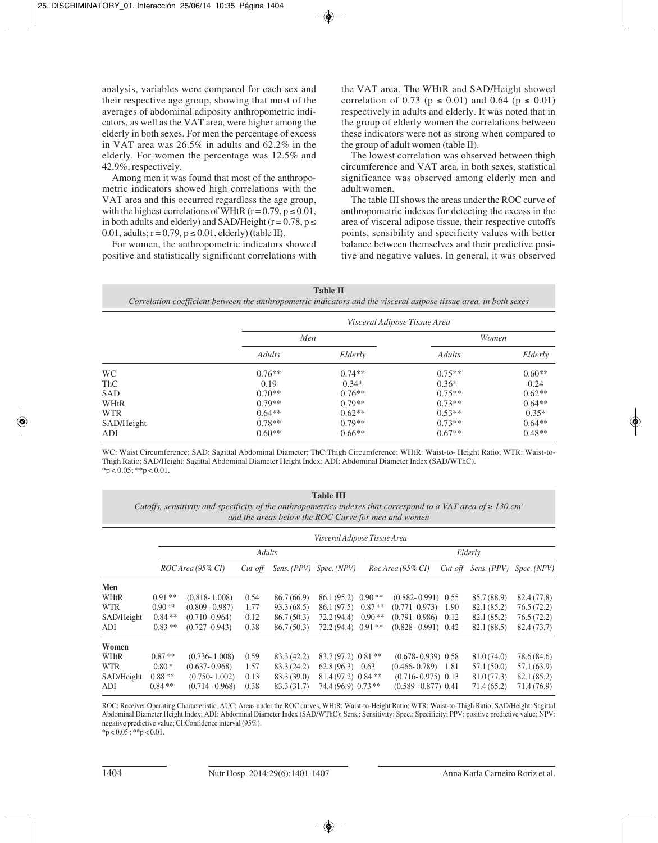analysis, variables were compared for each sex and their respective age group, showing that most of the averages of abdominal adiposity anthropometric indicators, as well as the VAT area, were higher among the elderly in both sexes. For men the percentage of excess in VAT area was 26.5% in adults and 62.2% in the elderly. For women the percentage was 12.5% and 42.9%, respectively.

Among men it was found that most of the anthropometric indicators showed high correlations with the VAT area and this occurred regardless the age group, with the highest correlations of WHtR ( $r = 0.79$ ,  $p \le 0.01$ , in both adults and elderly) and SAD/Height ( $r = 0.78$ ,  $p \le$ 0.01, adults;  $r = 0.79$ ,  $p \le 0.01$ , elderly) (table II).

For women, the anthropometric indicators showed positive and statistically significant correlations with the VAT area. The WHtR and SAD/Height showed correlation of 0.73 ( $p \le 0.01$ ) and 0.64 ( $p \le 0.01$ ) respectively in adults and elderly. It was noted that in the group of elderly women the correlations between these indicators were not as strong when compared to the group of adult women (table II).

The lowest correlation was observed between thigh circumference and VAT area, in both sexes, statistical significance was observed among elderly men and adult women.

The table III shows the areas under the ROC curve of anthropometric indexes for detecting the excess in the area of visceral adipose tissue, their respective cutoffs points, sensibility and specificity values with better balance between themselves and their predictive positive and negative values. In general, it was observed

#### **Table II**

*Correlation coefficient between the anthropometric indicators and the visceral asipose tissue area, in both sexes*

|            |          | Visceral Adipose Tissue Area |          |          |
|------------|----------|------------------------------|----------|----------|
|            | Men      |                              | Women    |          |
|            | Adults   | Elderly                      | Adults   | Elderly  |
| <b>WC</b>  | $0.76**$ | $0.74**$                     | $0.75**$ | $0.60**$ |
| <b>ThC</b> | 0.19     | $0.34*$                      | $0.36*$  | 0.24     |
| SAD        | $0.70**$ | $0.76**$                     | $0.75**$ | $0.62**$ |
| WHtR       | $0.79**$ | $0.79**$                     | $0.73**$ | $0.64**$ |
| <b>WTR</b> | $0.64**$ | $0.62**$                     | $0.53**$ | $0.35*$  |
| SAD/Height | $0.78**$ | $0.79**$                     | $0.73**$ | $0.64**$ |
| ADI        | $0.60**$ | $0.66**$                     | $0.67**$ | $0.48**$ |

WC: Waist Circumference; SAD: Sagittal Abdominal Diameter; ThC:Thigh Circumference; WHtR: Waist-to- Height Ratio; WTR: Waist-to-Thigh Ratio; SAD/Height: Sagittal Abdominal Diameter Height Index; ADI: Abdominal Diameter Index (SAD/WThC).  $*_{p}$  < 0.05; \*\*p < 0.01.

| <b>Table III</b><br>Cutoffs, sensitivity and specificity of the anthropometrics indexes that correspond to a VAT area of $\geq 130$ cm <sup>2</sup><br>and the areas below the ROC Curve for men and women |          |                     |            |             |                                 |          |                        |            |             |                         |
|------------------------------------------------------------------------------------------------------------------------------------------------------------------------------------------------------------|----------|---------------------|------------|-------------|---------------------------------|----------|------------------------|------------|-------------|-------------------------|
|                                                                                                                                                                                                            |          |                     |            |             | Visceral Adipose Tissue Area    |          |                        |            |             |                         |
|                                                                                                                                                                                                            |          | <b>Adults</b>       |            |             |                                 |          | Elderly                |            |             |                         |
|                                                                                                                                                                                                            |          | $ROC$ Area (95% CI) | $Cut$ -off |             | Sens. (PPV) Spec. (NPV)         |          | $Roc$ Area (95% CI)    | $Cut$ -off |             | Sens. (PPV) Spec. (NPV) |
| Men                                                                                                                                                                                                        |          |                     |            |             |                                 |          |                        |            |             |                         |
| WHtR                                                                                                                                                                                                       | $0.91**$ | $(0.818 - 1.008)$   | 0.54       | 86.7 (66.9) | 86.1 (95.2)                     | $0.90**$ | $(0.882 - 0.991)$ 0.55 |            | 85.7 (88.9) | 82.4 (77,8)             |
| <b>WTR</b>                                                                                                                                                                                                 | $0.90**$ | $(0.809 - 0.987)$   | 1.77       | 93.3(68.5)  | 86.1 (97.5)                     | $0.87**$ | $(0.771 - 0.973)$      | 1.90       | 82.1 (85.2) | 76.5(72.2)              |
| SAD/Height                                                                                                                                                                                                 | $0.84**$ | $(0.710 - 0.964)$   | 0.12       | 86.7 (50.3) | 72.2 (94.4)                     | $0.90**$ | $(0.791 - 0.986)$      | 0.12       | 82.1 (85.2) | 76.5(72.2)              |
| ADI                                                                                                                                                                                                        | $0.83**$ | $(0.727 - 0.943)$   | 0.38       | 86.7(50.3)  | $72.2(94.4)$ 0.91 **            |          | $(0.828 - 0.991)$ 0.42 |            | 82.1 (88.5) | 82.4 (73.7)             |
| Women<br>WHtR                                                                                                                                                                                              | $0.87**$ | $(0.736 - 1.008)$   | 0.59       | 83.3 (42.2) | $83.7(97.2)$ 0.81 <sup>**</sup> |          | $(0.678 - 0.939)$ 0.58 |            | 81.0 (74.0) | 78.6 (84.6)             |

ROC: Receiver Operating Characteristic, AUC: Areas under the ROC curves, WHtR: Waist-to-Height Ratio; WTR: Waist-to-Thigh Ratio; SAD/Height: Sagittal Abdominal Diameter Height Index; ADI: Abdominal Diameter Index (SAD/WThC); Sens.: Sensitivity; Spec.: Specificity; PPV: positive predictive value; NPV: negative predictive value; CI:Confidence interval (95%).

WTR 0.80 \* (0.637- 0.968) 1.57 83.3 (24.2) 62.8 (96.3) 0.63 (0.466- 0.789) 1.81 57.1 (50.0) 57.1 (63.9) SAD/Height 0.88 \*\* (0.750- 1.002) 0.13 83.3 (39.0) 81.4 (97.2) 0.84 \*\* (0.716- 0.975) 0.13 81.0 (77.3) 82.1 (85.2)<br>ADI 0.84 \*\* (0.714- 0.968) 0.38 83.3 (31.7) 74.4 (96.9) 0.73 \*\* (0.589 - 0.877) 0.41 71.4 (65.2) 71.4 (76.9 ADI 0.84 \*\* (0.714 - 0.968) 0.38 83.3 (31.7) 74.4 (96.9) 0.73 \*\* (0.589 - 0.877) 0.41 71.4 (65.2) 71.4 (76.9)

 $*p < 0.05$ ;  $**p < 0.01$ .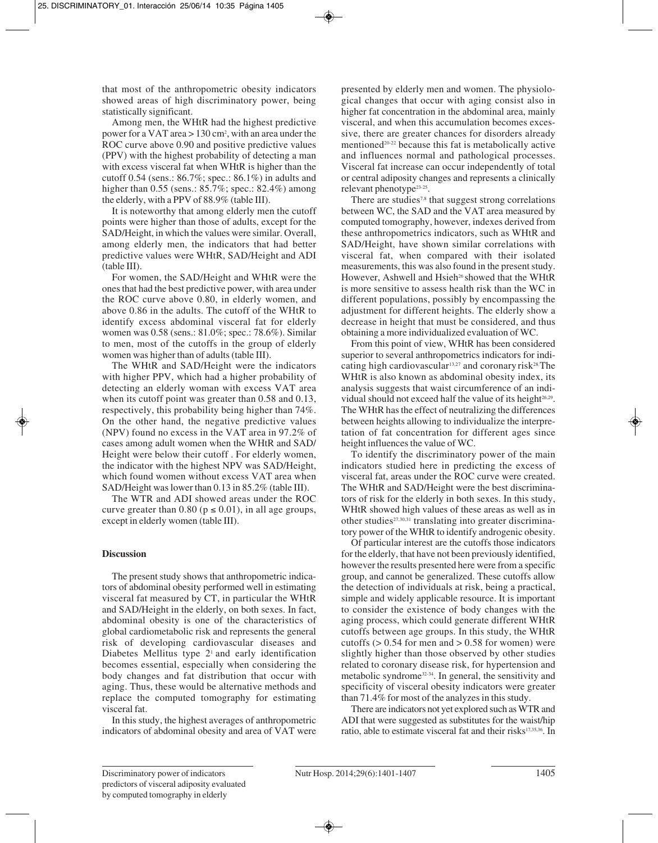that most of the anthropometric obesity indicators showed areas of high discriminatory power, being statistically significant.

Among men, the WHtR had the highest predictive power for a VAT area > 130 cm2 , with an area under the ROC curve above 0.90 and positive predictive values (PPV) with the highest probability of detecting a man with excess visceral fat when WHtR is higher than the cutoff 0.54 (sens.: 86.7%; spec.: 86.1%) in adults and higher than 0.55 (sens.: 85.7%; spec.: 82.4%) among the elderly, with a PPV of 88.9% (table III).

It is noteworthy that among elderly men the cutoff points were higher than those of adults, except for the SAD/Height, in which the values were similar. Overall, among elderly men, the indicators that had better predictive values were WHtR, SAD/Height and ADI (table III).

For women, the SAD/Height and WHtR were the ones that had the best predictive power, with area under the ROC curve above 0.80, in elderly women, and above 0.86 in the adults. The cutoff of the WHtR to identify excess abdominal visceral fat for elderly women was 0.58 (sens.: 81.0%; spec.: 78.6%). Similar to men, most of the cutoffs in the group of elderly women was higher than of adults (table III).

The WHtR and SAD/Height were the indicators with higher PPV, which had a higher probability of detecting an elderly woman with excess VAT area when its cutoff point was greater than 0.58 and 0.13, respectively, this probability being higher than 74%. On the other hand, the negative predictive values (NPV) found no excess in the VAT area in 97.2% of cases among adult women when the WHtR and SAD/ Height were below their cutoff . For elderly women, the indicator with the highest NPV was SAD/Height, which found women without excess VAT area when SAD/Height was lower than 0.13 in 85.2% (table III).

The WTR and ADI showed areas under the ROC curve greater than 0.80 ( $p \le 0.01$ ), in all age groups, except in elderly women (table III).

# **Discussion**

The present study shows that anthropometric indicators of abdominal obesity performed well in estimating visceral fat measured by CT, in particular the WHtR and SAD/Height in the elderly, on both sexes. In fact, abdominal obesity is one of the characteristics of global cardiometabolic risk and represents the general risk of developing cardiovascular diseases and Diabetes Mellitus type 2<sup>1</sup> and early identification becomes essential, especially when considering the body changes and fat distribution that occur with aging. Thus, these would be alternative methods and replace the computed tomography for estimating visceral fat.

In this study, the highest averages of anthropometric indicators of abdominal obesity and area of VAT were presented by elderly men and women. The physiological changes that occur with aging consist also in higher fat concentration in the abdominal area, mainly visceral, and when this accumulation becomes excessive, there are greater chances for disorders already mentioned<sup>20-22</sup> because this fat is metabolically active and influences normal and pathological processes. Visceral fat increase can occur independently of total or central adiposity changes and represents a clinically relevant phenotype23-25.

There are studies<sup>7,8</sup> that suggest strong correlations between WC, the SAD and the VAT area measured by computed tomography, however, indexes derived from these anthropometrics indicators, such as WHtR and SAD/Height, have shown similar correlations with visceral fat, when compared with their isolated measurements, this was also found in the present study. However, Ashwell and Hsieh<sup>26</sup> showed that the WHtR is more sensitive to assess health risk than the WC in different populations, possibly by encompassing the adjustment for different heights. The elderly show a decrease in height that must be considered, and thus obtaining a more individualized evaluation of WC.

From this point of view, WHtR has been considered superior to several anthropometrics indicators for indicating high cardiovascular<sup>13,27</sup> and coronary risk<sup>28.</sup>The WHtR is also known as abdominal obesity index, its analysis suggests that waist circumference of an individual should not exceed half the value of its height<sup>26,29</sup>. The WHtR has the effect of neutralizing the differences between heights allowing to individualize the interpretation of fat concentration for different ages since height influences the value of WC.

To identify the discriminatory power of the main indicators studied here in predicting the excess of visceral fat, areas under the ROC curve were created. The WHtR and SAD/Height were the best discriminators of risk for the elderly in both sexes. In this study, WHtR showed high values of these areas as well as in other studies<sup>27,30,31</sup> translating into greater discriminatory power of the WHtR to identify androgenic obesity.

Of particular interest are the cutoffs those indicators for the elderly, that have not been previously identified, however the results presented here were from a specific group, and cannot be generalized. These cutoffs allow the detection of individuals at risk, being a practical, simple and widely applicable resource. It is important to consider the existence of body changes with the aging process, which could generate different WHtR cutoffs between age groups. In this study, the WHtR cutoffs ( $> 0.54$  for men and  $> 0.58$  for women) were slightly higher than those observed by other studies related to coronary disease risk, for hypertension and metabolic syndrome32-34. In general, the sensitivity and specificity of visceral obesity indicators were greater than 71.4% for most of the analyzes in this study.

There are indicators not yet explored such as WTR and ADI that were suggested as substitutes for the waist/hip ratio, able to estimate visceral fat and their risks<sup>17,35,36</sup>. In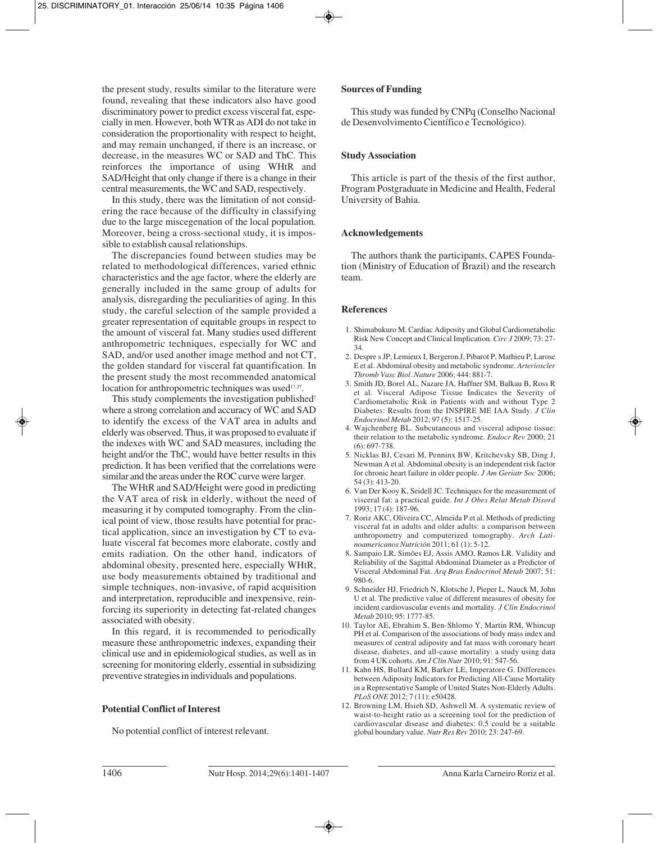the present study, results similar to the literature were found, revealing that these indicators also have good discriminatory power to predict excess visceral fat, especially in men. However, both WTR as ADI do not take in consideration the proportionality with respect to height, and may remain unchanged, if there is an increase, or decrease, in the measures WC or SAD and ThC. This reinforces the importance of using WHtR and SAD/Height that only change if there is a change in their central measurements, the WC and SAD, respectively.

In this study, there was the limitation of not considering the race because of the difficulty in classifying due to the large miscegenation of the local population. Moreover, being a cross-sectional study, it is impossible to establish causal relationships.

The discrepancies found between studies may be related to methodological differences, varied ethnic characteristics and the age factor, where the elderly are generally included in the same group of adults for analysis, disregarding the peculiarities of aging. In this study, the careful selection of the sample provided a greater representation of equitable groups in respect to the amount of visceral fat. Many studies used different anthropometric techniques, especially for WC and SAD, and/or used another image method and not CT, the golden standard for visceral fat quantification. In the present study the most recommended anatomical location for anthropometric techniques was used<sup>17,37</sup>.

This study complements the investigation published<sup>7</sup> where a strong correlation and accuracy of WC and SAD to identify the excess of the VAT area in adults and elderly was observed. Thus, it was proposed to evaluate if the indexes with WC and SAD measures, including the height and/or the ThC, would have better results in this prediction. It has been verified that the correlations were similar and the areas under the ROC curve were larger.

The WHtR and SAD/Height were good in predicting the VAT area of risk in elderly, without the need of measuring it by computed tomography. From the clinical point of view, those results have potential for practical application, since an investigation by CT to eva luate visceral fat becomes more elaborate, costly and emits radiation. On the other hand, indicators of abdominal obesity, presented here, especially WHtR, use body measurements obtained by traditional and simple techniques, non-invasive, of rapid acquisition and interpretation, reproducible and inexpensive, reinforcing its superiority in detecting fat-related changes associated with obesity.

In this regard, it is recommended to periodically measure these anthropometric indexes, expanding their clinical use and in epidemiological studies, as well as in screening for monitoring elderly, essential in subsidizing preventive strategies in individuals and populations.

# **Potential Conflict of Interest**

No potential conflict of interest relevant.

# **Sources of Funding**

This study was funded by CNPq (Conselho Nacional de Desenvolvimento Científico e Tecnológico).

# **Study Association**

This article is part of the thesis of the first author, Program Postgraduate in Medicine and Health, Federal University of Bahia.

# **Acknowledgements**

The authors thank the participants, CAPES Foundation (Ministry of Education of Brazil) and the research team.

# **References**

- 1. Shimabukuro M. Cardiac Adiposity and Global Cardiometabolic Risk New Concept and Clinical Implication. *Circ J* 2009; 73: 27- 34.
- 2. Despre s JP, Lemieux I, Bergeron J, Pibarot P, Mathieu P, Larose E et al. Abdominal obesity and metabolic syndrome. *Arterioscler Thromb Vasc Biol. Nature* 2006; 444: 881-7.
- 3. Smith JD, Borel AL, Nazare JA, Haffner SM, Balkau B, Ross R et al. Visceral Adipose Tissue Indicates the Severity of Cardiometabolic Risk in Patients with and without Type 2 Diabetes: Results from the INSPIRE ME IAA Study. *J Clin Endocrinol Metab* 2012; 97 (5): 1517-25.
- 4. Wajchenberg BL. Subcutaneous and visceral adipose tissue: their relation to the metabolic syndrome. *Endocr Rev* 2000; 21 (6): 697-738.
- 5. Nicklas BJ, Cesari M, Penninx BW, Kritchevsky SB, Ding J, Newman A et al. Abdominal obesity is an independent risk factor for chronic heart failure in older people. *J Am Geriatr Soc* 2006; 54 (3): 413-20.
- 6. Van Der Kooy K, Seidell JC. Techniques for the measurement of visceral fat: a practical guide. *Int J Obes Relat Metab Disord* 1993; 17 (4): 187-96.
- 7. Roriz AKC, Oliveira CC, Almeida P et al. Methods of predicting visceral fat in adults and older adults: a comparison between anthropometry and computerized tomography. *Arch Latinoamericanos Nutrición* 2011; 61 (1): 5-12.
- 8. Sampaio LR, Simôes EJ, Assis AMO, Ramos LR. Validity and Reliability of the Sagittal Abdominal Diameter as a Predictor of Visceral Abdominal Fat. *Arq Bras Endocrinol Metab* 2007; 51: 980-6.
- 9. Schneider HJ, Friedrich N, Klotsche J, Pieper L, Nauck M, John U et al. The predictive value of different measures of obesity for incident cardiovascular events and mortality. *J Clin Endocrinol Metab* 2010; 95: 1777-85.
- 10. Taylor AE, Ebrahim S, Ben-Shlomo Y, Martin RM, Whincup PH et al. Comparison of the associations of body mass index and measures of central adiposity and fat mass with coronary heart disease, diabetes, and all-cause mortality: a study using data from 4 UK cohorts. *Am J Clin Nutr* 2010; 91: 547-56.
- 11. Kahn HS, Bullard KM, Barker LE, Imperatore G. Differences between Adiposity Indicators for Predicting All-Cause Mortality in a Representative Sample of United States Non-Elderly Adults. *PLoS ONE* 2012; 7 (11): e50428.
- 12. Browning LM, Hsieh SD, Ashwell M. A systematic review of waist-to-height ratio as a screening tool for the prediction of cardiovascular disease and diabetes: 0.5 could be a suitable global boundary value. *Nutr Res Rev* 2010; 23: 247-69.